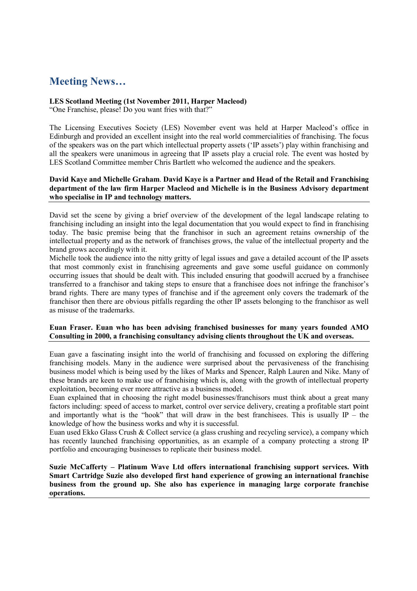## **Meeting News…**

## **LES Scotland Meeting (1st November 2011, Harper Macleod)**

"One Franchise, please! Do you want fries with that?"

The Licensing Executives Society (LES) November event was held at Harper Macleod's office in Edinburgh and provided an excellent insight into the real world commercialities of franchising. The focus of the speakers was on the part which intellectual property assets ('IP assets') play within franchising and all the speakers were unanimous in agreeing that IP assets play a crucial role. The event was hosted by LES Scotland Committee member Chris Bartlett who welcomed the audience and the speakers.

## **David Kaye and Michelle Graham**. **David Kaye is a Partner and Head of the Retail and Franchising department of the law firm Harper Macleod and Michelle is in the Business Advisory department who specialise in IP and technology matters.**

David set the scene by giving a brief overview of the development of the legal landscape relating to franchising including an insight into the legal documentation that you would expect to find in franchising today. The basic premise being that the franchisor in such an agreement retains ownership of the intellectual property and as the network of franchises grows, the value of the intellectual property and the brand grows accordingly with it.

Michelle took the audience into the nitty gritty of legal issues and gave a detailed account of the IP assets that most commonly exist in franchising agreements and gave some useful guidance on commonly occurring issues that should be dealt with. This included ensuring that goodwill accrued by a franchisee transferred to a franchisor and taking steps to ensure that a franchisee does not infringe the franchisor's brand rights. There are many types of franchise and if the agreement only covers the trademark of the franchisor then there are obvious pitfalls regarding the other IP assets belonging to the franchisor as well as misuse of the trademarks.

## **Euan Fraser. Euan who has been advising franchised businesses for many years founded AMO Consulting in 2000, a franchising consultancy advising clients throughout the UK and overseas.**

Euan gave a fascinating insight into the world of franchising and focussed on exploring the differing franchising models. Many in the audience were surprised about the pervasiveness of the franchising business model which is being used by the likes of Marks and Spencer, Ralph Lauren and Nike. Many of these brands are keen to make use of franchising which is, along with the growth of intellectual property exploitation, becoming ever more attractive as a business model.

Euan explained that in choosing the right model businesses/franchisors must think about a great many factors including: speed of access to market, control over service delivery, creating a profitable start point and importantly what is the "hook" that will draw in the best franchisees. This is usually  $IP -$  the knowledge of how the business works and why it is successful.

Euan used Ekko Glass Crush & Collect service (a glass crushing and recycling service), a company which has recently launched franchising opportunities, as an example of a company protecting a strong IP portfolio and encouraging businesses to replicate their business model.

**Suzie McCafferty – Platinum Wave Ltd offers international franchising support services. With Smart Cartridge Suzie also developed first hand experience of growing an international franchise business from the ground up. She also has experience in managing large corporate franchise operations.**